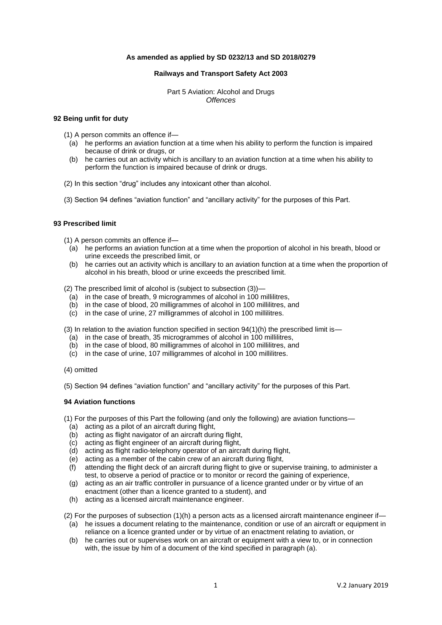## **As amended as applied by SD 0232/13 and SD 2018/0279**

### **Railways and Transport Safety Act 2003**

Part 5 Aviation: Alcohol and Drugs *Offences*

### **92 Being unfit for duty**

(1) A person commits an offence if—

- (a) he performs an aviation function at a time when his ability to perform the function is impaired because of drink or drugs, or
- (b) he carries out an activity which is ancillary to an aviation function at a time when his ability to perform the function is impaired because of drink or drugs.
- (2) In this section "drug" includes any intoxicant other than alcohol.
- (3) Section 94 defines "aviation function" and "ancillary activity" for the purposes of this Part.

# **93 Prescribed limit**

(1) A person commits an offence if—

- (a) he performs an aviation function at a time when the proportion of alcohol in his breath, blood or urine exceeds the prescribed limit, or
- (b) he carries out an activity which is ancillary to an aviation function at a time when the proportion of alcohol in his breath, blood or urine exceeds the prescribed limit.

(2) The prescribed limit of alcohol is (subject to subsection (3))—

- (a) in the case of breath, 9 microgrammes of alcohol in 100 millilitres,
- (b) in the case of blood, 20 milligrammes of alcohol in 100 millilitres, and
- (c) in the case of urine, 27 milligrammes of alcohol in 100 millilitres.

(3) In relation to the aviation function specified in section  $94(1)(h)$  the prescribed limit is—

- (a) in the case of breath, 35 microgrammes of alcohol in 100 millilitres,
- (b) in the case of blood, 80 milligrammes of alcohol in 100 millilitres, and
- (c) in the case of urine, 107 milligrammes of alcohol in 100 millilitres.
- (4) omitted

(5) Section 94 defines "aviation function" and "ancillary activity" for the purposes of this Part.

### **94 Aviation functions**

(1) For the purposes of this Part the following (and only the following) are aviation functions—

- (a) acting as a pilot of an aircraft during flight,
- (b) acting as flight navigator of an aircraft during flight,
- (c) acting as flight engineer of an aircraft during flight,
- (d) acting as flight radio-telephony operator of an aircraft during flight,
- (e) acting as a member of the cabin crew of an aircraft during flight,
- (f) attending the flight deck of an aircraft during flight to give or supervise training, to administer a test, to observe a period of practice or to monitor or record the gaining of experience,
- (g) acting as an air traffic controller in pursuance of a licence granted under or by virtue of an enactment (other than a licence granted to a student), and
- (h) acting as a licensed aircraft maintenance engineer.

(2) For the purposes of subsection (1)(h) a person acts as a licensed aircraft maintenance engineer if—

- (a) he issues a document relating to the maintenance, condition or use of an aircraft or equipment in reliance on a licence granted under or by virtue of an enactment relating to aviation, or
- (b) he carries out or supervises work on an aircraft or equipment with a view to, or in connection with, the issue by him of a document of the kind specified in paragraph (a).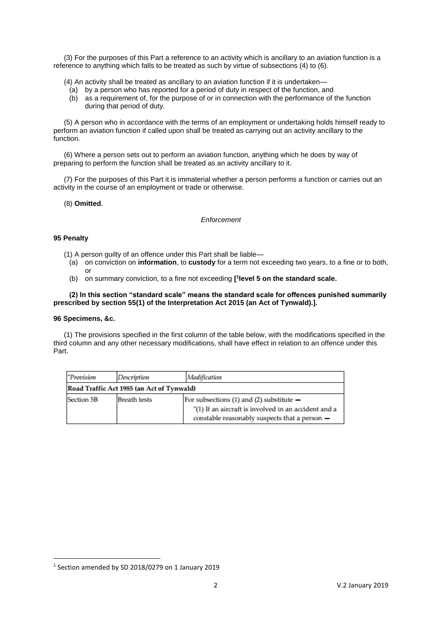(3) For the purposes of this Part a reference to an activity which is ancillary to an aviation function is a reference to anything which falls to be treated as such by virtue of subsections (4) to (6).

(4) An activity shall be treated as ancillary to an aviation function if it is undertaken—

- (a) by a person who has reported for a period of duty in respect of the function, and
- (b) as a requirement of, for the purpose of or in connection with the performance of the function during that period of duty.

(5) A person who in accordance with the terms of an employment or undertaking holds himself ready to perform an aviation function if called upon shall be treated as carrying out an activity ancillary to the function.

(6) Where a person sets out to perform an aviation function, anything which he does by way of preparing to perform the function shall be treated as an activity ancillary to it.

(7) For the purposes of this Part it is immaterial whether a person performs a function or carries out an activity in the course of an employment or trade or otherwise.

### (8) **Omitted**.

#### *Enforcement*

### **95 Penalty**

- (1) A person guilty of an offence under this Part shall be liable—
	- (a) on conviction on **information**, to **custody** for a term not exceeding two years, to a fine or to both, or
	- (b) on summary conviction, to a fine not exceeding **[ 1 level 5 on the standard scale.**

## **(2) In this section "standard scale" means the standard scale for offences punished summarily prescribed by section 55(1) of the Interpretation Act 2015 (an Act of Tynwald).].**

### **96 Specimens, &c.**

**.** 

(1) The provisions specified in the first column of the table below, with the modifications specified in the third column and any other necessary modifications, shall have effect in relation to an offence under this Part.

| "Provision                                | <b>Description</b>  | <b>Modification</b>                                                                                                                                     |  |  |
|-------------------------------------------|---------------------|---------------------------------------------------------------------------------------------------------------------------------------------------------|--|--|
| Road Traffic Act 1985 (an Act of Tynwald) |                     |                                                                                                                                                         |  |  |
| <b>Section 5B</b>                         | <b>Breath tests</b> | For subsections $(1)$ and $(2)$ substitute $-$<br>"(1) If an aircraft is involved in an accident and a<br>constable reasonably suspects that a person - |  |  |

<sup>1</sup> Section amended by SD 2018/0279 on 1 January 2019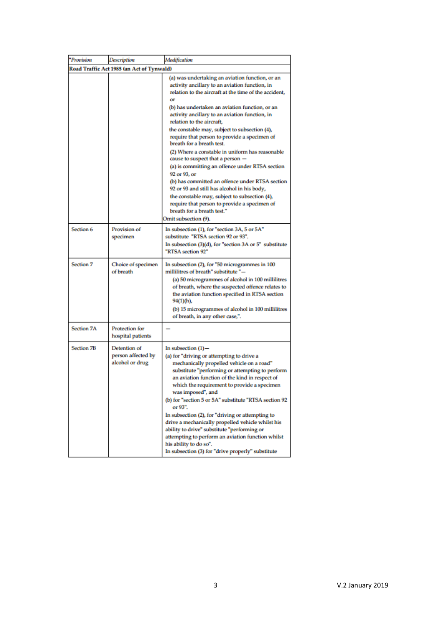| "Provision                                | Description                                           | Modification                                                                                                                                                                                                                                                                                                                                                                                                                                                                                                                                                                                                                                                                                                                                                                                                                                       |  |  |
|-------------------------------------------|-------------------------------------------------------|----------------------------------------------------------------------------------------------------------------------------------------------------------------------------------------------------------------------------------------------------------------------------------------------------------------------------------------------------------------------------------------------------------------------------------------------------------------------------------------------------------------------------------------------------------------------------------------------------------------------------------------------------------------------------------------------------------------------------------------------------------------------------------------------------------------------------------------------------|--|--|
| Road Traffic Act 1985 (an Act of Tynwald) |                                                       |                                                                                                                                                                                                                                                                                                                                                                                                                                                                                                                                                                                                                                                                                                                                                                                                                                                    |  |  |
|                                           |                                                       | (a) was undertaking an aviation function, or an<br>activity ancillary to an aviation function, in<br>relation to the aircraft at the time of the accident,<br>œ۴<br>(b) has undertaken an aviation function, or an<br>activity ancillary to an aviation function, in<br>relation to the aircraft,<br>the constable may, subject to subsection (4),<br>require that person to provide a specimen of<br>breath for a breath test.<br>(2) Where a constable in uniform has reasonable<br>cause to suspect that a person -<br>(a) is committing an offence under RTSA section<br>92 or 93, or<br>(b) has committed an offence under RTSA section<br>92 or 93 and still has alcohol in his body,<br>the constable may, subject to subsection (4),<br>require that person to provide a specimen of<br>breath for a breath test."<br>Omit subsection (9). |  |  |
| Section 6                                 | Provision of<br>specimen                              | In subsection (1), for "section 3A, 5 or 5A"<br>substitute "RTSA section 92 or 93".<br>In subsection (3)(d), for "section 3A or 5" substitute<br>"RTSA section 92"                                                                                                                                                                                                                                                                                                                                                                                                                                                                                                                                                                                                                                                                                 |  |  |
| Section 7                                 | Choice of specimen<br>of breath                       | In subsection (2), for "50 microgrammes in 100<br>millilitres of breath" substitute "—<br>(a) 50 microgrammes of alcohol in 100 millilitres<br>of breath, where the suspected offence relates to<br>the aviation function specified in RTSA section<br>94(1)(h),<br>(b) 15 microgrammes of alcohol in 100 millilitres<br>of breath, in any other case,".                                                                                                                                                                                                                                                                                                                                                                                                                                                                                           |  |  |
| <b>Section 7A</b>                         | Protection for<br>hospital patients                   |                                                                                                                                                                                                                                                                                                                                                                                                                                                                                                                                                                                                                                                                                                                                                                                                                                                    |  |  |
| <b>Section 7B</b>                         | Detention of<br>person affected by<br>alcohol or drug | In subsection $(1)$ -<br>(a) for "driving or attempting to drive a<br>mechanically propelled vehicle on a road"<br>substitute "performing or attempting to perform<br>an aviation function of the kind in respect of<br>which the requirement to provide a specimen<br>was imposed", and<br>(b) for "section 5 or 5A" substitute "RTSA section 92<br>or 93".<br>In subsection (2), for "driving or attempting to<br>drive a mechanically propelled vehicle whilst his<br>ability to drive" substitute "performing or<br>attempting to perform an aviation function whilst<br>his ability to do so".<br>In subsection (3) for "drive properly" substitute                                                                                                                                                                                           |  |  |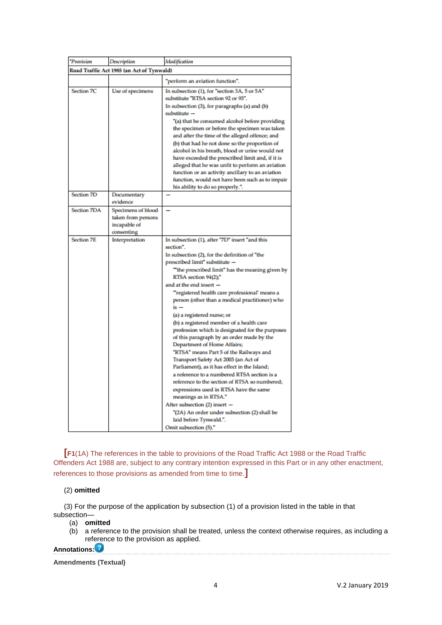| "Provision                                | Description                                                            | Modification                                                                                                                                                                                                                                                                                                                                                                                                                                                                                                                                                                                                                                                                                                                                                                                                                                                                                                                                                                                                            |  |  |
|-------------------------------------------|------------------------------------------------------------------------|-------------------------------------------------------------------------------------------------------------------------------------------------------------------------------------------------------------------------------------------------------------------------------------------------------------------------------------------------------------------------------------------------------------------------------------------------------------------------------------------------------------------------------------------------------------------------------------------------------------------------------------------------------------------------------------------------------------------------------------------------------------------------------------------------------------------------------------------------------------------------------------------------------------------------------------------------------------------------------------------------------------------------|--|--|
| Road Traffic Act 1985 (an Act of Tynwald) |                                                                        |                                                                                                                                                                                                                                                                                                                                                                                                                                                                                                                                                                                                                                                                                                                                                                                                                                                                                                                                                                                                                         |  |  |
|                                           |                                                                        | "perform an aviation function".                                                                                                                                                                                                                                                                                                                                                                                                                                                                                                                                                                                                                                                                                                                                                                                                                                                                                                                                                                                         |  |  |
| <b>Section 7C</b>                         | Use of specimens                                                       | In subsection (1), for "section 3A, 5 or 5A"<br>substitute "RTSA section 92 or 93".<br>In subsection (3), for paragraphs (a) and (b)<br>substitute -<br>"(a) that he consumed alcohol before providing<br>the specimen or before the specimen was taken<br>and after the time of the alleged offence; and<br>(b) that had he not done so the proportion of<br>alcohol in his breath, blood or urine would not<br>have exceeded the prescribed limit and, if it is<br>alleged that he was unfit to perform an aviation<br>function or an activity ancillary to an aviation<br>function, would not have been such as to impair<br>his ability to do so properly.".                                                                                                                                                                                                                                                                                                                                                        |  |  |
| <b>Section 7D</b>                         | Documentary<br>evidence                                                |                                                                                                                                                                                                                                                                                                                                                                                                                                                                                                                                                                                                                                                                                                                                                                                                                                                                                                                                                                                                                         |  |  |
| <b>Section 7DA</b>                        | Specimens of blood<br>taken from persons<br>incapable of<br>consenting |                                                                                                                                                                                                                                                                                                                                                                                                                                                                                                                                                                                                                                                                                                                                                                                                                                                                                                                                                                                                                         |  |  |
| <b>Section 7E</b>                         | Interpretation                                                         | In subsection (1), after "7D" insert "and this<br>section".<br>In subsection (2), for the definition of "the<br>prescribed limit" substitute -<br>""the prescribed limit" has the meaning given by<br>RTSA section 94(2);"<br>and at the end insert $-$<br>"registered health care professional' means a<br>person (other than a medical practitioner) who<br>$is -$<br>(a) a registered nurse; or<br>(b) a registered member of a health care<br>profession which is designated for the purposes<br>of this paragraph by an order made by the<br>Department of Home Affairs;<br>"RTSA" means Part 5 of the Railways and<br>Transport Safety Act 2003 (an Act of<br>Parliament), as it has effect in the Island;<br>a reference to a numbered RTSA section is a<br>reference to the section of RTSA so numbered;<br>expressions used in RTSA have the same<br>meanings as in RTSA."<br>After subsection (2) insert -<br>"(2A) An order under subsection (2) shall be<br>laid before Tynwald.".<br>Omit subsection (5)." |  |  |

**[[F1](http://www.legislation.gov.uk/ukpga/2003/20/part/5#commentary-key-ed139d4e92f376e8db1053e93902b5e9)**(1A) The references in the table to provisions of the Road Traffic Act 1988 or the Road Traffic Offenders Act 1988 are, subject to any contrary intention expressed in this Part or in any other enactment, references to those provisions as amended from time to time.**]**

## (2) **omitted**

(3) For the purpose of the application by subsection (1) of a provision listed in the table in that subsection—

- (a) **omitted**
- (b) a reference to the provision shall be treated, unless the context otherwise requires, as including a ref[eren](http://www.legislation.gov.uk/ukpga/2003/20/part/5#Annotationd2029e416Help)ce to the provision as applied.

**Annotations:**

**Amendments (Textual)**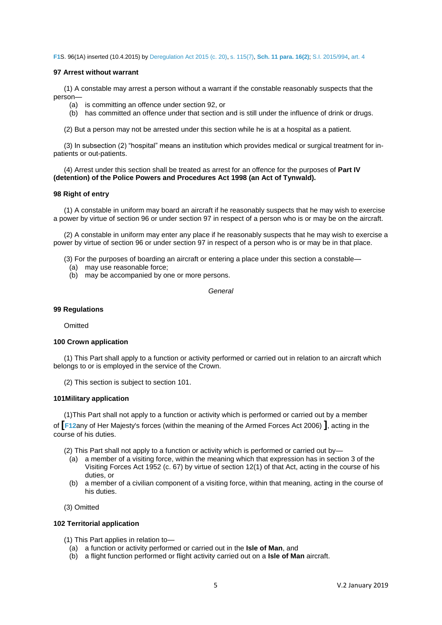**[F1](http://www.legislation.gov.uk/ukpga/2003/20/part/5#reference-key-ed139d4e92f376e8db1053e93902b5e9)**S. 96(1A) inserted (10.4.2015) by [Deregulation Act 2015 \(c. 20\),](http://www.legislation.gov.uk/id/ukpga/2015/20) [s. 115\(7\),](http://www.legislation.gov.uk/id/ukpga/2015/20/section/115/7) **[Sch. 11 para. 16\(2\)](http://www.legislation.gov.uk/id/ukpga/2015/20/schedule/11/paragraph/16/2)**; [S.I. 2015/994,](http://www.legislation.gov.uk/id/uksi/2015/994) [art. 4](http://www.legislation.gov.uk/id/uksi/2015/994/article/4)

#### **97 Arrest without warrant**

(1) A constable may arrest a person without a warrant if the constable reasonably suspects that the person—

- (a) is committing an offence under section 92, or
- (b) has committed an offence under that section and is still under the influence of drink or drugs.

(2) But a person may not be arrested under this section while he is at a hospital as a patient.

(3) In subsection (2) "hospital" means an institution which provides medical or surgical treatment for inpatients or out-patients.

(4) Arrest under this section shall be treated as arrest for an offence for the purposes of **Part IV (detention) of the Police Powers and Procedures Act 1998 (an Act of Tynwald).** 

## **98 Right of entry**

(1) A constable in uniform may board an aircraft if he reasonably suspects that he may wish to exercise a power by virtue of section 96 or under section 97 in respect of a person who is or may be on the aircraft.

(2) A constable in uniform may enter any place if he reasonably suspects that he may wish to exercise a power by virtue of section 96 or under section 97 in respect of a person who is or may be in that place.

(3) For the purposes of boarding an aircraft or entering a place under this section a constable—

- (a) may use reasonable force;
- (b) may be accompanied by one or more persons.

*General*

#### **99 Regulations**

**Omitted** 

### **100 Crown application**

(1) This Part shall apply to a function or activity performed or carried out in relation to an aircraft which belongs to or is employed in the service of the Crown.

(2) This section is subject to section 101.

#### **101Military application**

(1)This Part shall not apply to a function or activity which is performed or carried out by a member of **[[F12](http://www.legislation.gov.uk/ukpga/2003/20/part/5#commentary-key-81d5b04d0d28309ecd2545cc4f825317)**any of Her Majesty's forces (within the meaning of the Armed Forces Act 2006) **]**, acting in the course of his duties.

(2) This Part shall not apply to a function or activity which is performed or carried out by—

- (a) a member of a visiting force, within the meaning which that expression has in section 3 of the Visiting Forces Act 1952 (c. 67) by virtue of section 12(1) of that Act, acting in the course of his duties, or
- (b) a member of a civilian component of a visiting force, within that meaning, acting in the course of his duties.
- (3) Omitted

## **102 Territorial application**

- (1) This Part applies in relation to—
	- (a) a function or activity performed or carried out in the **Isle of Man**, and
	- (b) a flight function performed or flight activity carried out on a **Isle of Man** aircraft.